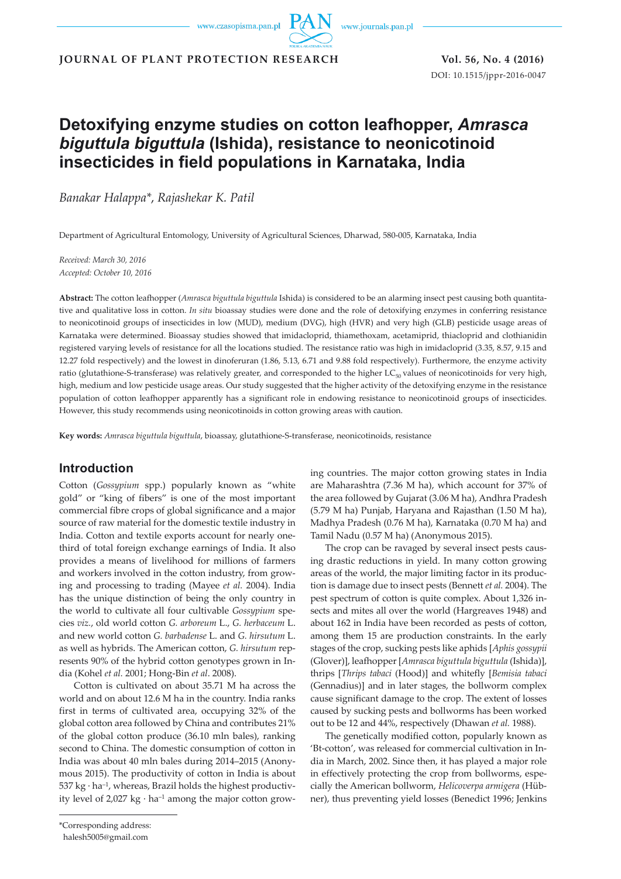www.journals.pan.pl

**JOURNAL OF PLANT PROTECTION RESEARCH Vol. 56, No. 4 (2016)**

DOI: 10.1515/jppr-2016-0047

# **Detoxifying enzyme studies on cotton leafhopper,** *Amrasca biguttula biguttula* **(Ishida), resistance to neonicotinoid insecticides in field populations in Karnataka, India**

*Banakar Halappa\**, *Rajashekar K. Patil*

Department of Agricultural Entomology, University of Agricultural Sciences, Dharwad, 580-005, Karnataka, India

*Received: March 30, 2016 Accepted: October 10, 2016*

**Abstract:** The cotton leafhopper (*Amrasca biguttula biguttula* Ishida) is considered to be an alarming insect pest causing both quantitative and qualitative loss in cotton. *In situ* bioassay studies were done and the role of detoxifying enzymes in conferring resistance to neonicotinoid groups of insecticides in low (MUD), medium (DVG), high (HVR) and very high (GLB) pesticide usage areas of Karnataka were determined. Bioassay studies showed that imidacloprid, thiamethoxam, acetamiprid, thiacloprid and clothianidin registered varying levels of resistance for all the locations studied. The resistance ratio was high in imidacloprid (3.35, 8.57, 9.15 and 12.27 fold respectively) and the lowest in dinoferuran (1.86, 5.13, 6.71 and 9.88 fold respectively). Furthermore, the enzyme activity ratio (glutathione-S-transferase) was relatively greater, and corresponded to the higher  $LC_{50}$  values of neonicotinoids for very high, high, medium and low pesticide usage areas. Our study suggested that the higher activity of the detoxifying enzyme in the resistance population of cotton leafhopper apparently has a significant role in endowing resistance to neonicotinoid groups of insecticides. However, this study recommends using neonicotinoids in cotton growing areas with caution.

**Key words:** *Amrasca biguttula biguttula*, bioassay, glutathione-S-transferase, neonicotinoids, resistance

# **Introduction**

Cotton (*Gossypium* spp.) popularly known as "white gold" or "king of fibers" is one of the most important commercial fibre crops of global significance and a major source of raw material for the domestic textile industry in India. Cotton and textile exports account for nearly onethird of total foreign exchange earnings of India. It also provides a means of livelihood for millions of farmers and workers involved in the cotton industry, from growing and processing to trading (Mayee *et al.* 2004). India has the unique distinction of being the only country in the world to cultivate all four cultivable *Gossypium* species *viz.*, old world cotton *G. arboreum* L., *G. herbaceum* L. and new world cotton *G. barbadense* L. and *G. hirsutum* L. as well as hybrids. The American cotton, *G. hirsutum* represents 90% of the hybrid cotton genotypes grown in India (Kohel *et al.* 2001; Hong-Bin *et al*. 2008).

Cotton is cultivated on about 35.71 M ha across the world and on about 12.6 M ha in the country. India ranks first in terms of cultivated area, occupying 32% of the global cotton area followed by China and contributes 21% of the global cotton produce (36.10 mln bales), ranking second to China. The domestic consumption of cotton in India was about 40 mln bales during 2014–2015 (Anonymous 2015). The productivity of cotton in India is about  $537 \text{ kg} \cdot \text{ha}^{-1}$ , whereas, Brazil holds the highest productivity level of  $2,027 \text{ kg} \cdot \text{ha}^{-1}$  among the major cotton growing countries. The major cotton growing states in India are Maharashtra (7.36 M ha), which account for 37% of the area followed by Gujarat (3.06 M ha), Andhra Pradesh (5.79 M ha) Punjab, Haryana and Rajasthan (1.50 M ha), Madhya Pradesh (0.76 M ha), Karnataka (0.70 M ha) and Tamil Nadu (0.57 M ha) (Anonymous 2015).

The crop can be ravaged by several insect pests causing drastic reductions in yield. In many cotton growing areas of the world, the major limiting factor in its production is damage due to insect pests (Bennett *et al.* 2004). The pest spectrum of cotton is quite complex. About 1,326 insects and mites all over the world (Hargreaves 1948) and about 162 in India have been recorded as pests of cotton, among them 15 are production constraints. In the early stages of the crop, sucking pests like aphids [*Aphis gossypii* (Glover)], leafhopper [*Amrasca biguttula biguttula* (Ishida)], thrips [*Thrips tabaci* (Hood)] and whitefly [*Bemisia tabaci* (Gennadius)] and in later stages, the bollworm complex cause significant damage to the crop. The extent of losses caused by sucking pests and bollworms has been worked out to be 12 and 44%, respectively (Dhawan *et al.* 1988).

The genetically modified cotton, popularly known as 'Bt-cotton', was released for commercial cultivation in India in March, 2002. Since then, it has played a major role in effectively protecting the crop from bollworms, especially the American bollworm, *Helicoverpa armigera* (Hübner), thus preventing yield losses (Benedict 1996; Jenkins

<sup>\*</sup>Corresponding address:

halesh5005@gmail.com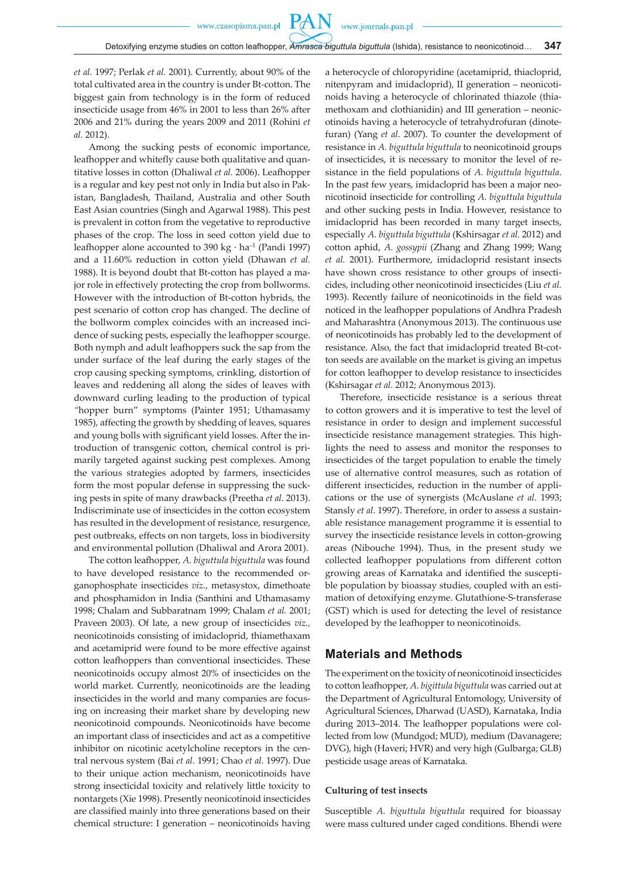*et al.* 1997; Perlak *et al.* 2001). Currently, about 90% of the total cultivated area in the country is under Bt*-*cotton. The biggest gain from technology is in the form of reduced insecticide usage from 46% in 2001 to less than 26% after 2006 and 21% during the years 2009 and 2011 (Rohini *et al.* 2012).

Among the sucking pests of economic importance, leafhopper and whitefly cause both qualitative and quantitative losses in cotton (Dhaliwal *et al.* 2006). Leafhopper is a regular and key pest not only in India but also in Pakistan, Bangladesh, Thailand, Australia and other South East Asian countries (Singh and Agarwal 1988). This pest is prevalent in cotton from the vegetative to reproductive phases of the crop. The loss in seed cotton yield due to leafhopper alone accounted to 390 kg  $\cdot$  ha<sup>-1</sup> (Pandi 1997) and a 11.60% reduction in cotton yield (Dhawan *et al.* 1988). It is beyond doubt that Bt-cotton has played a major role in effectively protecting the crop from bollworms. However with the introduction of Bt-cotton hybrids, the pest scenario of cotton crop has changed. The decline of the bollworm complex coincides with an increased incidence of sucking pests, especially the leafhopper scourge. Both nymph and adult leafhoppers suck the sap from the under surface of the leaf during the early stages of the crop causing specking symptoms, crinkling, distortion of leaves and reddening all along the sides of leaves with downward curling leading to the production of typical *"*hopper burn" symptoms (Painter 1951; Uthamasamy 1985), affecting the growth by shedding of leaves, squares and young bolls with significant yield losses. After the introduction of transgenic cotton, chemical control is primarily targeted against sucking pest complexes. Among the various strategies adopted by farmers, insecticides form the most popular defense in suppressing the sucking pests in spite of many drawbacks (Preetha *et al.* 2013). Indiscriminate use of insecticides in the cotton ecosystem has resulted in the development of resistance, resurgence, pest outbreaks, effects on non targets, loss in biodiversity and environmental pollution (Dhaliwal and Arora 2001).

The cotton leafhopper, *A. biguttula biguttula* was found to have developed resistance to the recommended organophosphate insecticides *viz.*, metasystox, dimethoate and phosphamidon in India (Santhini and Uthamasamy 1998; Chalam and Subbaratnam 1999; Chalam *et al.* 2001; Praveen 2003). Of late, a new group of insecticides *viz.,*  neonicotinoids consisting of imidacloprid, thiamethaxam and acetamiprid were found to be more effective against cotton leafhoppers than conventional insecticides. These neonicotinoids occupy almost 20% of insecticides on the world market. Currently, neonicotinoids are the leading insecticides in the world and many companies are focusing on increasing their market share by developing new neonicotinoid compounds. Neonicotinoids have become an important class of insecticides and act as a competitive inhibitor on nicotinic acetylcholine receptors in the central nervous system (Bai *et al.* 1991; Chao *et al.* 1997). Due to their unique action mechanism, neonicotinoids have strong insecticidal toxicity and relatively little toxicity to nontargets (Xie 1998). Presently neonicotinoid insecticides are classified mainly into three generations based on their chemical structure: I generation – neonicotinoids having a heterocycle of chloropyridine (acetamiprid, thiacloprid, nitenpyram and imidacloprid), II generation – neonicotinoids having a heterocycle of chlorinated thiazole (thiamethoxam and clothianidin) and III generation – neonicotinoids having a heterocycle of tetrahydrofuran (dinotefuran) (Yang *et al.* 2007). To counter the development of resistance in *A. biguttula biguttula* to neonicotinoid groups of insecticides, it is necessary to monitor the level of resistance in the field populations of *A. biguttula biguttula*. In the past few years, imidacloprid has been a major neonicotinoid insecticide for controlling *A. biguttula biguttula*  and other sucking pests in India. However, resistance to imidacloprid has been recorded in many target insects, especially *A. biguttula biguttula* (Kshirsagar *et al.* 2012) and cotton aphid, *A. gossypii* (Zhang and Zhang 1999; Wang *et al.* 2001). Furthermore, imidacloprid resistant insects have shown cross resistance to other groups of insecticides, including other neonicotinoid insecticides (Liu *et al.* 1993). Recently failure of neonicotinoids in the field was noticed in the leafhopper populations of Andhra Pradesh and Maharashtra (Anonymous 2013). The continuous use of neonicotinoids has probably led to the development of resistance. Also, the fact that imidacloprid treated Bt-cotton seeds are available on the market is giving an impetus for cotton leafhopper to develop resistance to insecticides (Kshirsagar *et al.* 2012; Anonymous 2013).

Therefore, insecticide resistance is a serious threat to cotton growers and it is imperative to test the level of resistance in order to design and implement successful insecticide resistance management strategies. This highlights the need to assess and monitor the responses to insecticides of the target population to enable the timely use of alternative control measures, such as rotation of different insecticides, reduction in the number of applications or the use of synergists (McAuslane *et al.* 1993; Stansly *et al*. 1997). Therefore, in order to assess a sustainable resistance management programme it is essential to survey the insecticide resistance levels in cotton-growing areas (Nibouche 1994). Thus, in the present study we collected leafhopper populations from different cotton growing areas of Karnataka and identified the susceptible population by bioassay studies, coupled with an estimation of detoxifying enzyme. Glutathione-S-transferase (GST) which is used for detecting the level of resistance developed by the leafhopper to neonicotinoids.

# **Materials and Methods**

The experiment on the toxicity of neonicotinoid insecticides to cotton leafhopper, *A. bigittula biguttula* was carried out at the Department of Agricultural Entomology, University of Agricultural Sciences, Dharwad (UASD), Karnataka, India during 2013–2014. The leafhopper populations were collected from low (Mundgod; MUD), medium (Davanagere; DVG), high (Haveri; HVR) and very high (Gulbarga; GLB) pesticide usage areas of Karnataka.

### **Culturing of test insects**

Susceptible *A. biguttula biguttula* required for bioassay were mass cultured under caged conditions. Bhendi were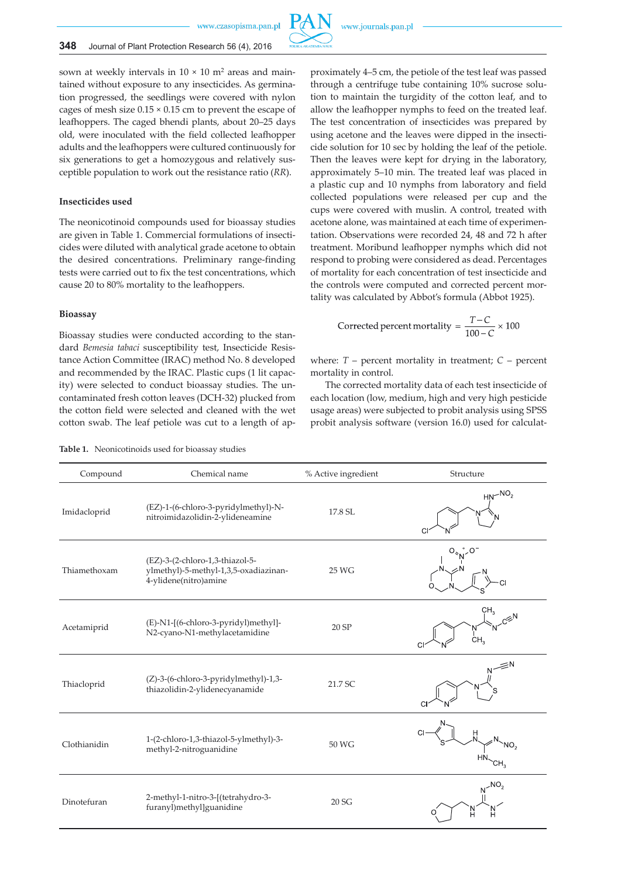

sown at weekly intervals in  $10 \times 10$  m<sup>2</sup> areas and maintained without exposure to any insecticides. As germination progressed, the seedlings were covered with nylon cages of mesh size  $0.15 \times 0.15$  cm to prevent the escape of leafhoppers. The caged bhendi plants, about 20–25 days old, were inoculated with the field collected leafhopper adults and the leafhoppers were cultured continuously for six generations to get a homozygous and relatively susceptible population to work out the resistance ratio (*RR*).

### **Insecticides used**

The neonicotinoid compounds used for bioassay studies are given in Table 1. Commercial formulations of insecticides were diluted with analytical grade acetone to obtain the desired concentrations. Preliminary range-finding tests were carried out to fix the test concentrations, which cause 20 to 80% mortality to the leafhoppers.

### **Bioassay**

Bioassay studies were conducted according to the standard *Bemesia tabaci* susceptibility test, Insecticide Resistance Action Committee (IRAC) method No. 8 developed and recommended by the IRAC. Plastic cups (1 lit capacity) were selected to conduct bioassay studies. The uncontaminated fresh cotton leaves (DCH-32) plucked from the cotton field were selected and cleaned with the wet cotton swab. The leaf petiole was cut to a length of approximately 4–5 cm, the petiole of the test leaf was passed through a centrifuge tube containing 10% sucrose solution to maintain the turgidity of the cotton leaf, and to allow the leafhopper nymphs to feed on the treated leaf. The test concentration of insecticides was prepared by using acetone and the leaves were dipped in the insecticide solution for 10 sec by holding the leaf of the petiole. Then the leaves were kept for drying in the laboratory, approximately 5–10 min. The treated leaf was placed in a plastic cup and 10 nymphs from laboratory and field collected populations were released per cup and the cups were covered with muslin. A control, treated with acetone alone, was maintained at each time of experimentation. Observations were recorded 24, 48 and 72 h after treatment. Moribund leafhopper nymphs which did not respond to probing were considered as dead. Percentages of mortality for each concentration of test insecticide and the controls were computed and corrected percent mortality was calculated by Abbot's formula (Abbot 1925).

Corrected percent mortality = 
$$
\frac{T-C}{100-C} \times 100
$$

where:  $T$  – percent mortality in treatment;  $C$  – percent mortality in control.

The corrected mortality data of each test insecticide of each location (low, medium, high and very high pesticide usage areas) were subjected to probit analysis using SPSS probit analysis software (version 16.0) used for calculat-

**Table 1.** Neonicotinoids used for bioassay studies

| Compound     | Chemical name                                                                                     | % Active ingredient | Structure       |
|--------------|---------------------------------------------------------------------------------------------------|---------------------|-----------------|
| Imidacloprid | (EZ)-1-(6-chloro-3-pyridylmethyl)-N-<br>nitroimidazolidin-2-ylideneamine                          | 17.8 SL             | $HN-NO2$        |
| Thiamethoxam | (EZ)-3-(2-chloro-1,3-thiazol-5-<br>ylmethyl)-5-methyl-1,3,5-oxadiazinan-<br>4-ylidene(nitro)amine | 25 WG               |                 |
| Acetamiprid  | (E)-N1-[(6-chloro-3-pyridyl)methyl]-<br>N2-cyano-N1-methylacetamidine                             | 20 SP               | CH <sub>3</sub> |
| Thiacloprid  | (Z)-3-(6-chloro-3-pyridylmethyl)-1,3-<br>thiazolidin-2-ylidenecyanamide                           | 21.7 SC             |                 |
| Clothianidin | 1-(2-chloro-1,3-thiazol-5-ylmethyl)-3-<br>methyl-2-nitroguanidine                                 | 50 WG               |                 |
| Dinotefuran  | 2-methyl-1-nitro-3-[(tetrahydro-3-<br>furanyl)methyl]guanidine                                    | 20 SG               | NO <sub>2</sub> |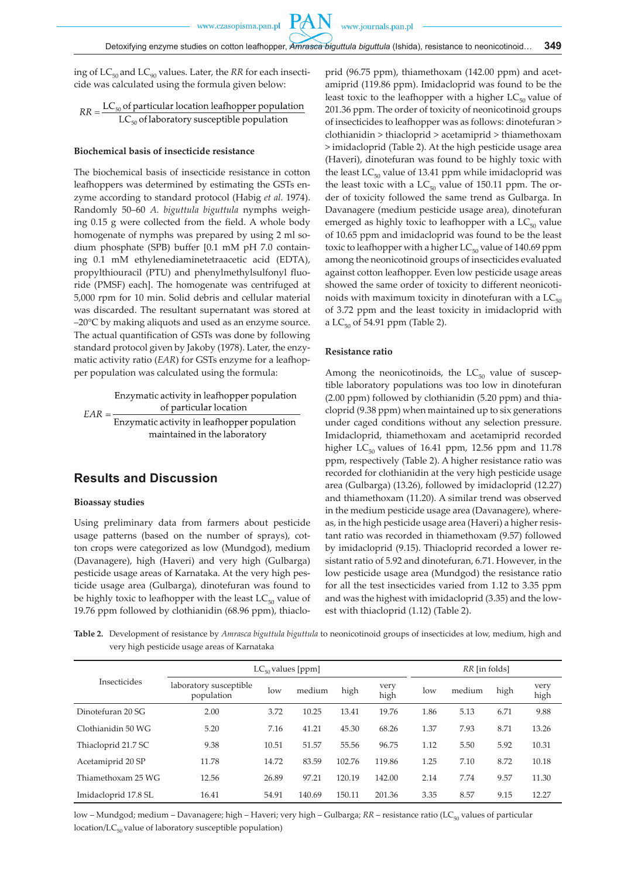PA

ing of  $LC_{50}$  and  $LC_{90}$  values. Later, the *RR* for each insecticide was calculated using the formula given below:

$$
RR = \frac{LC_{50} \text{ of particular location leafhopper population}}{LC_{50} \text{ of laboratory susceptible population}}
$$

#### **Biochemical basis of insecticide resistance**

The biochemical basis of insecticide resistance in cotton leafhoppers was determined by estimating the GSTs enzyme according to standard protocol (Habig *et al.* 1974). Randomly 50–60 *A. biguttula biguttula* nymphs weighing 0.15 g were collected from the field. A whole body homogenate of nymphs was prepared by using 2 ml sodium phosphate (SPB) buffer [0.1 mM pH 7.0 containing 0.1 mM ethylenediaminetetraacetic acid (EDTA), propylthiouracil (PTU) and phenylmethylsulfonyl fluoride (PMSF) each]. The homogenate was centrifuged at 5,000 rpm for 10 min. Solid debris and cellular material was discarded. The resultant supernatant was stored at –20°C by making aliquots and used as an enzyme source. The actual quantification of GSTs was done by following standard protocol given by Jakoby (1978). Later, the enzymatic activity ratio (*EAR*) for GSTs enzyme for a leafhopper population was calculated using the formula:

Enzymatic activity in leafhopper population of particular location  $EAR =$ Enzymatic activity in leafhopper population maintained in the laboratory

# **Results and Discussion**

#### **Bioassay studies**

Using preliminary data from farmers about pesticide usage patterns (based on the number of sprays), cotton crops were categorized as low (Mundgod), medium (Davanagere), high (Haveri) and very high (Gulbarga) pesticide usage areas of Karnataka. At the very high pesticide usage area (Gulbarga), dinotefuran was found to be highly toxic to leafhopper with the least  $LC_{50}$  value of 19.76 ppm followed by clothianidin (68.96 ppm), thiacloprid (96.75 ppm), thiamethoxam (142.00 ppm) and acetamiprid (119.86 ppm). Imidacloprid was found to be the least toxic to the leafhopper with a higher  $LC_{50}$  value of 201.36 ppm. The order of toxicity of neonicotinoid groups of insecticides to leafhopper was as follows: dinotefuran > clothianidin > thiacloprid > acetamiprid > thiamethoxam > imidacloprid (Table 2). At the high pesticide usage area (Haveri), dinotefuran was found to be highly toxic with the least  $LC_{50}$  value of 13.41 ppm while imidacloprid was the least toxic with a  $LC_{50}$  value of 150.11 ppm. The order of toxicity followed the same trend as Gulbarga. In Davanagere (medium pesticide usage area), dinotefuran emerged as highly toxic to leafhopper with a  $LC_{50}$  value of 10.65 ppm and imidacloprid was found to be the least toxic to leafhopper with a higher  $LC_{50}$  value of 140.69 ppm among the neonicotinoid groups of insecticides evaluated against cotton leafhopper. Even low pesticide usage areas showed the same order of toxicity to different neonicotinoids with maximum toxicity in dinotefuran with a  $LC_{50}$ of 3.72 ppm and the least toxicity in imidacloprid with a  $LC_{50}$  of 54.91 ppm (Table 2).

### **Resistance ratio**

Among the neonicotinoids, the  $LC_{50}$  value of susceptible laboratory populations was too low in dinotefuran (2.00 ppm) followed by clothianidin (5.20 ppm) and thiacloprid (9.38 ppm) when maintained up to six generations under caged conditions without any selection pressure. Imidacloprid, thiamethoxam and acetamiprid recorded higher  $LC_{50}$  values of 16.41 ppm, 12.56 ppm and 11.78 ppm, respectively (Table 2). A higher resistance ratio was recorded for clothianidin at the very high pesticide usage area (Gulbarga) (13.26), followed by imidacloprid (12.27) and thiamethoxam (11.20). A similar trend was observed in the medium pesticide usage area (Davanagere), whereas, in the high pesticide usage area (Haveri) a higher resistant ratio was recorded in thiamethoxam (9.57) followed by imidacloprid (9.15). Thiacloprid recorded a lower resistant ratio of 5.92 and dinotefuran, 6.71. However, in the low pesticide usage area (Mundgod) the resistance ratio for all the test insecticides varied from 1.12 to 3.35 ppm and was the highest with imidacloprid (3.35) and the lowest with thiacloprid (1.12) (Table 2).

**Table 2.** Development of resistance by *Amrasca biguttula biguttula* to neonicotinoid groups of insecticides at low, medium, high and very high pesticide usage areas of Karnataka

|                      | $LC_{50}$ values [ppm]               |       |        |        | RR [in folds] |      |        |      |              |
|----------------------|--------------------------------------|-------|--------|--------|---------------|------|--------|------|--------------|
| <b>Insecticides</b>  | laboratory susceptible<br>population | low   | medium | high   | very<br>high  | low  | medium | high | very<br>high |
| Dinotefuran 20 SG    | 2.00                                 | 3.72  | 10.25  | 13.41  | 19.76         | 1.86 | 5.13   | 6.71 | 9.88         |
| Clothianidin 50 WG   | 5.20                                 | 7.16  | 41.21  | 45.30  | 68.26         | 1.37 | 7.93   | 8.71 | 13.26        |
| Thiacloprid 21.7 SC  | 9.38                                 | 10.51 | 51.57  | 55.56  | 96.75         | 1.12 | 5.50   | 5.92 | 10.31        |
| Acetamiprid 20 SP    | 11.78                                | 14.72 | 83.59  | 102.76 | 119.86        | 1.25 | 7.10   | 8.72 | 10.18        |
| Thiamethoxam 25 WG   | 12.56                                | 26.89 | 97.21  | 120.19 | 142.00        | 2.14 | 7.74   | 9.57 | 11.30        |
| Imidacloprid 17.8 SL | 16.41                                | 54.91 | 140.69 | 150.11 | 201.36        | 3.35 | 8.57   | 9.15 | 12.27        |

low – Mundgod; medium – Davanagere; high – Haveri; very high – Gulbarga; *RR* – resistance ratio (LC<sub>50</sub> values of particular location/ $LC_{50}$  value of laboratory susceptible population)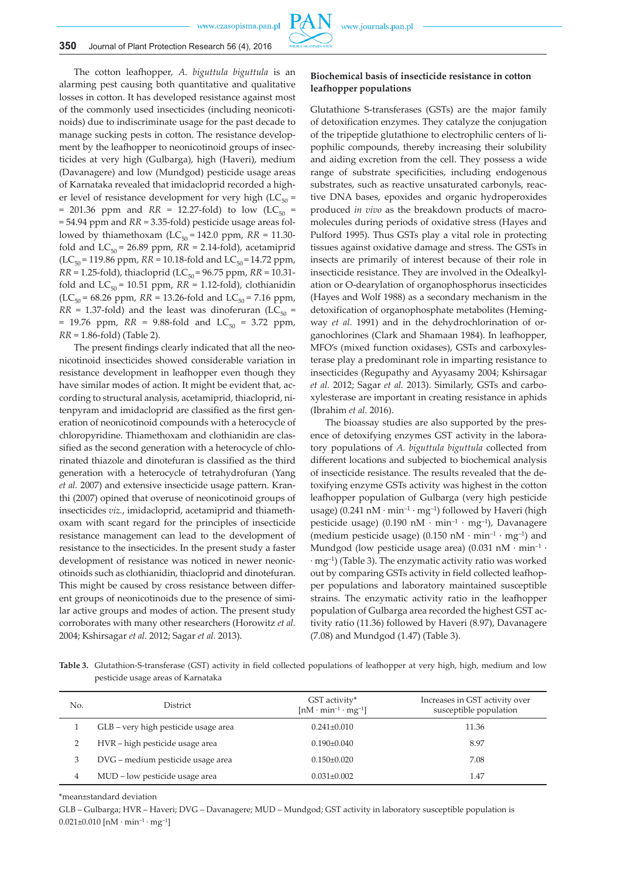

The cotton leafhopper, *A. biguttula biguttula* is an alarming pest causing both quantitative and qualitative losses in cotton. It has developed resistance against most of the commonly used insecticides (including neonicotinoids) due to indiscriminate usage for the past decade to manage sucking pests in cotton. The resistance development by the leafhopper to neonicotinoid groups of insecticides at very high (Gulbarga), high (Haveri), medium (Davanagere) and low (Mundgod) pesticide usage areas of Karnataka revealed that imidacloprid recorded a higher level of resistance development for very high ( $LC_{50}$  = = 201.36 ppm and  $RR = 12.27$ -fold) to low (LC<sub>50</sub> = = 54.94 ppm and *RR* = 3.35-fold) pesticide usage areas followed by thiamethoxam ( $LC_{50} = 142.0$  ppm,  $RR = 11.30$ fold and  $LC_{50}$  = 26.89 ppm,  $RR = 2.14$ -fold), acetamiprid  $(LC_{50} = 119.86$  ppm,  $RR = 10.18$ -fold and  $LC_{50} = 14.72$  ppm,  $RR = 1.25$ -fold), thiacloprid (LC<sub>50</sub> = 96.75 ppm,  $RR = 10.31$ fold and  $LC_{50}$  = 10.51 ppm,  $RR = 1.12$ -fold), clothianidin  $(LC_{50} = 68.26$  ppm,  $RR = 13.26$ -fold and  $LC_{50} = 7.16$  ppm,  $RR = 1.37$ -fold) and the least was dinoferuran (LC<sub>50</sub> = = 19.76 ppm,  $RR = 9.88$ -fold and  $LC_{50} = 3.72$  ppm, *RR* = 1.86-fold) (Table 2).

The present findings clearly indicated that all the neonicotinoid insecticides showed considerable variation in resistance development in leafhopper even though they have similar modes of action. It might be evident that, according to structural analysis, acetamiprid, thiacloprid, nitenpyram and imidacloprid are classified as the first generation of neonicotinoid compounds with a heterocycle of chloropyridine. Thiamethoxam and clothianidin are classified as the second generation with a heterocycle of chlorinated thiazole and dinotefuran is classified as the third generation with a heterocycle of tetrahydrofuran (Yang *et al.* 2007) and extensive insecticide usage pattern. Kranthi (2007) opined that overuse of neonicotinoid groups of insecticides *viz.*, imidacloprid, acetamiprid and thiamethoxam with scant regard for the principles of insecticide resistance management can lead to the development of resistance to the insecticides. In the present study a faster development of resistance was noticed in newer neonicotinoids such as clothianidin, thiacloprid and dinotefuran. This might be caused by cross resistance between different groups of neonicotinoids due to the presence of similar active groups and modes of action. The present study corroborates with many other researchers (Horowitz *et al.*  2004; Kshirsagar *et al.* 2012; Sagar *et al.* 2013).

### **Biochemical basis of insecticide resistance in cotton leafhopper populations**

Glutathione S-transferases (GSTs) are the major family of detoxification enzymes. They catalyze the conjugation of the tripeptide glutathione to electrophilic centers of lipophilic compounds, thereby increasing their solubility and aiding excretion from the cell. They possess a wide range of substrate specificities, including endogenous substrates, such as reactive unsaturated carbonyls, reactive DNA bases, epoxides and organic hydroperoxides produced *in vivo* as the breakdown products of macromolecules during periods of oxidative stress (Hayes and Pulford 1995). Thus GSTs play a vital role in protecting tissues against oxidative damage and stress. The GSTs in insects are primarily of interest because of their role in insecticide resistance. They are involved in the Odealkylation or O-dearylation of organophosphorus insecticides (Hayes and Wolf 1988) as a secondary mechanism in the detoxification of organophosphate metabolites (Hemingway *et al.* 1991) and in the dehydrochlorination of organochlorines (Clark and Shamaan 1984). In leafhopper, MFO's (mixed function oxidases), GSTs and carboxylesterase play a predominant role in imparting resistance to insecticides (Regupathy and Ayyasamy 2004; Kshirsagar *et al.* 2012; Sagar *et al.* 2013). Similarly, GSTs and carboxylesterase are important in creating resistance in aphids (Ibrahim *et al.* 2016).

The bioassay studies are also supported by the presence of detoxifying enzymes GST activity in the laboratory populations of *A. biguttula biguttula* collected from different locations and subjected to biochemical analysis of insecticide resistance. The results revealed that the detoxifying enzyme GSTs activity was highest in the cotton leafhopper population of Gulbarga (very high pesticide usage) (0.241 nM · min<sup>-1</sup> · mg<sup>-1</sup>) followed by Haveri (high pesticide usage) (0.190 nM  $\cdot$  min<sup>-1</sup>  $\cdot$  mg<sup>-1</sup>), Davanagere (medium pesticide usage) (0.150 nM  $\cdot$  min<sup>-1</sup>  $\cdot$  mg<sup>-1</sup>) and Mundgod (low pesticide usage area) (0.031 nM  $\cdot$  min<sup>-1</sup>  $\cdot$ · mg–1) (Table 3). The enzymatic activity ratio was worked out by comparing GSTs activity in field collected leafhopper populations and laboratory maintained susceptible strains. The enzymatic activity ratio in the leafhopper population of Gulbarga area recorded the highest GST activity ratio (11.36) followed by Haveri (8.97), Davanagere (7.08) and Mundgod (1.47) (Table 3).

**Table 3.** Glutathion-S-transferase (GST) activity in field collected populations of leafhopper at very high, high, medium and low pesticide usage areas of Karnataka

| No. | <b>District</b>                      | GST activity*<br>$[nM \cdot min^{-1} \cdot mg^{-1}]$ | Increases in GST activity over<br>susceptible population |
|-----|--------------------------------------|------------------------------------------------------|----------------------------------------------------------|
|     | GLB – very high pesticide usage area | $0.241 \pm 0.010$                                    | 11.36                                                    |
|     | HVR – high pesticide usage area      | $0.190\pm0.040$                                      | 8.97                                                     |
| 3   | DVG – medium pesticide usage area    | $0.150\pm0.020$                                      | 7.08                                                     |
| 4   | MUD – low pesticide usage area       | $0.031 \pm 0.002$                                    | 1.47                                                     |

\*mean±standard deviation

GLB – Gulbarga; HVR – Haveri; DVG – Davanagere; MUD – Mundgod; GST activity in laboratory susceptible population is  $0.021 \pm 0.010$  [nM · min<sup>-1</sup> · mg<sup>-1</sup>]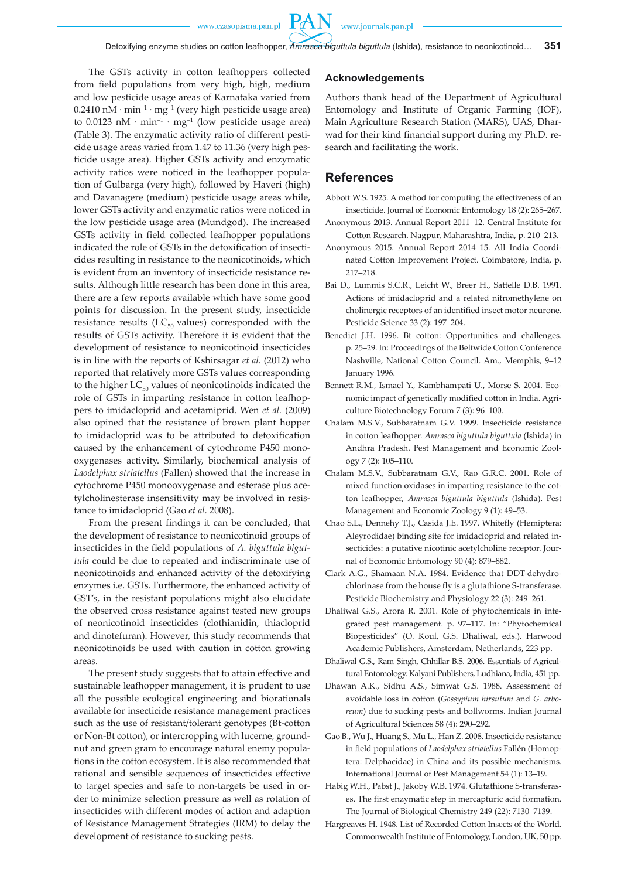PAN

The GSTs activity in cotton leafhoppers collected from field populations from very high, high, medium and low pesticide usage areas of Karnataka varied from  $0.2410 \text{ nM} \cdot \text{min}^{-1} \cdot \text{mg}^{-1}$  (very high pesticide usage area) to  $0.0123$  nM  $\cdot$  min<sup>-1</sup>  $\cdot$  mg<sup>-1</sup> (low pesticide usage area) (Table 3). The enzymatic activity ratio of different pesticide usage areas varied from 1.47 to 11.36 (very high pesticide usage area). Higher GSTs activity and enzymatic activity ratios were noticed in the leafhopper population of Gulbarga (very high), followed by Haveri (high) and Davanagere (medium) pesticide usage areas while, lower GSTs activity and enzymatic ratios were noticed in the low pesticide usage area (Mundgod). The increased GSTs activity in field collected leafhopper populations indicated the role of GSTs in the detoxification of insecticides resulting in resistance to the neonicotinoids, which is evident from an inventory of insecticide resistance results. Although little research has been done in this area, there are a few reports available which have some good points for discussion. In the present study, insecticide resistance results ( $LC_{50}$  values) corresponded with the results of GSTs activity. Therefore it is evident that the development of resistance to neonicotinoid insecticides is in line with the reports of Kshirsagar *et al.* (2012) who reported that relatively more GSTs values corresponding to the higher  $LC_{50}$  values of neonicotinoids indicated the role of GSTs in imparting resistance in cotton leafhoppers to imidacloprid and acetamiprid. Wen *et al.* (2009) also opined that the resistance of brown plant hopper to imidacloprid was to be attributed to detoxification caused by the enhancement of cytochrome P450 monooxygenases activity. Similarly, biochemical analysis of *Laodelphax striatellus* (Fallen) showed that the increase in cytochrome P450 monooxygenase and esterase plus acetylcholinesterase insensitivity may be involved in resistance to imidacloprid (Gao *et al.* 2008).

From the present findings it can be concluded, that the development of resistance to neonicotinoid groups of insecticides in the field populations of *A. biguttula biguttula* could be due to repeated and indiscriminate use of neonicotinoids and enhanced activity of the detoxifying enzymes i.e. GSTs. Furthermore, the enhanced activity of GST's, in the resistant populations might also elucidate the observed cross resistance against tested new groups of neonicotinoid insecticides (clothianidin, thiacloprid and dinotefuran). However, this study recommends that neonicotinoids be used with caution in cotton growing areas.

The present study suggests that to attain effective and sustainable leafhopper management, it is prudent to use all the possible ecological engineering and biorationals available for insecticide resistance management practices such as the use of resistant/tolerant genotypes (Bt-cotton or Non-Bt cotton), or intercropping with lucerne, groundnut and green gram to encourage natural enemy populations in the cotton ecosystem. It is also recommended that rational and sensible sequences of insecticides effective to target species and safe to non-targets be used in order to minimize selection pressure as well as rotation of insecticides with different modes of action and adaption of Resistance Management Strategies (IRM) to delay the development of resistance to sucking pests.

### **Acknowledgements**

Authors thank head of the Department of Agricultural Entomology and Institute of Organic Farming (IOF), Main Agriculture Research Station (MARS), UAS, Dharwad for their kind financial support during my Ph.D. research and facilitating the work.

## **References**

- Abbott W.S. 1925. A method for computing the effectiveness of an insecticide. Journal of Economic Entomology 18 (2): 265–267.
- Anonymous 2013. Annual Report 2011–12. Central Institute for Cotton Research. Nagpur, Maharashtra, India, p. 210–213.
- Anonymous 2015. Annual Report 2014–15. All India Coordinated Cotton Improvement Project. Coimbatore, India, p. 217–218.
- Bai D., Lummis S.C.R., Leicht W., Breer H., Sattelle D.B. 1991. Actions of imidacloprid and a related nitromethylene on cholinergic receptors of an identified insect motor neurone. Pesticide Science 33 (2): 197–204.
- Benedict J.H. 1996. Bt cotton: Opportunities and challenges. p. 25–29. In: Proceedings of the Beltwide Cotton Conference Nashville, National Cotton Council. Am., Memphis, 9–12 January 1996.
- Bennett R.M., Ismael Y., Kambhampati U., Morse S. 2004. Economic impact of genetically modified cotton in India. Agriculture Biotechnology Forum 7 (3): 96–100.
- Chalam M.S.V., Subbaratnam G.V. 1999. Insecticide resistance in cotton leafhopper. *Amrasca biguttula biguttula* (Ishida) in Andhra Pradesh. Pest Management and Economic Zoology 7 (2): 105–110.
- Chalam M.S.V., Subbaratnam G.V., Rao G.R.C. 2001. Role of mixed function oxidases in imparting resistance to the cotton leafhopper, *Amrasca biguttula biguttula* (Ishida). Pest Management and Economic Zoology 9 (1): 49–53.
- Chao S.L., Dennehy T.J., Casida J.E. 1997. Whitefly (Hemiptera: Aleyrodidae) binding site for imidacloprid and related insecticides: a putative nicotinic acetylcholine receptor. Journal of Economic Entomology 90 (4): 879–882.
- Clark A.G., Shamaan N.A. 1984. Evidence that DDT-dehydrochlorinase from the house fly is a glutathione S-transferase. Pesticide Biochemistry and Physiology 22 (3): 249–261.
- Dhaliwal G.S., Arora R. 2001. Role of phytochemicals in integrated pest management. p. 97–117. In: "Phytochemical Biopesticides" (O. Koul, G.S. Dhaliwal, eds.). Harwood Academic Publishers, Amsterdam, Netherlands, 223 pp.
- Dhaliwal G.S., Ram Singh, Chhillar B.S. 2006. Essentials of Agricultural Entomology. Kalyani Publishers, Ludhiana, India, 451 pp.
- Dhawan A.K., Sidhu A.S., Simwat G.S. 1988. Assessment of avoidable loss in cotton (*Gossypium hirsutum* and *G. arboreum*) due to sucking pests and bollworms. Indian Journal of Agricultural Sciences 58 (4): 290–292.
- Gao B., Wu J., Huang S., Mu L., Han Z. 2008. Insecticide resistance in field populations of *Laodelphax striatellus* Fallén (Homoptera: Delphacidae) in China and its possible mechanisms. International Journal of Pest Management 54 (1): 13–19.
- Habig W.H., Pabst J., Jakoby W.B. 1974. Glutathione S-transferases. The first enzymatic step in mercapturic acid formation. The Journal of Biological Chemistry 249 (22): 7130–7139.
- Hargreaves H. 1948. List of Recorded Cotton Insects of the World. Commonwealth Institute of Entomology, London, UK, 50 pp.